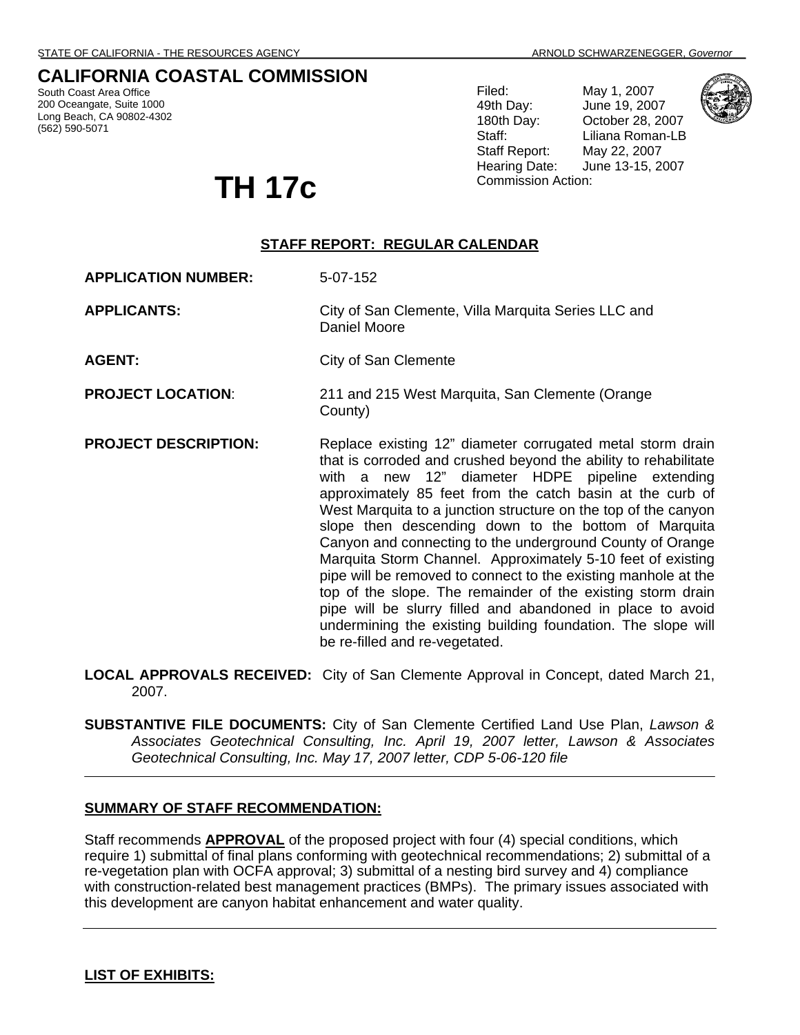# **CALIFORNIA COASTAL COMMISSION**

South Coast Area Office 200 Oceangate, Suite 1000 Long Beach, CA 90802-4302 (562) 590-5071

Filed: May 1, 2007 49th Day: June 19, 2007 180th Day: October 28, 2007 Staff: Liliana Roman-LB Staff Report: May 22, 2007 Hearing Date: June 13-15, 2007



TH 17<sub>C</sub> Commission Action:

# **STAFF REPORT: REGULAR CALENDAR**

**APPLICATION NUMBER:** 5-07-152

**APPLICANTS:** City of San Clemente, Villa Marquita Series LLC and Daniel Moore

**AGENT:** City of San Clemente

**PROJECT LOCATION**: 211 and 215 West Marquita, San Clemente (Orange County)

- **PROJECT DESCRIPTION:** Replace existing 12" diameter corrugated metal storm drain that is corroded and crushed beyond the ability to rehabilitate with a new 12" diameter HDPE pipeline extending approximately 85 feet from the catch basin at the curb of West Marquita to a junction structure on the top of the canyon slope then descending down to the bottom of Marquita Canyon and connecting to the underground County of Orange Marquita Storm Channel. Approximately 5-10 feet of existing pipe will be removed to connect to the existing manhole at the top of the slope. The remainder of the existing storm drain pipe will be slurry filled and abandoned in place to avoid undermining the existing building foundation. The slope will be re-filled and re-vegetated.
- **LOCAL APPROVALS RECEIVED:** City of San Clemente Approval in Concept, dated March 21, 2007.

**SUBSTANTIVE FILE DOCUMENTS:** City of San Clemente Certified Land Use Plan, *Lawson & Associates Geotechnical Consulting, Inc. April 19, 2007 letter, Lawson & Associates Geotechnical Consulting, Inc. May 17, 2007 letter, CDP 5-06-120 file* 

## **SUMMARY OF STAFF RECOMMENDATION:**

Staff recommends **APPROVAL** of the proposed project with four (4) special conditions, which require 1) submittal of final plans conforming with geotechnical recommendations; 2) submittal of a re-vegetation plan with OCFA approval; 3) submittal of a nesting bird survey and 4) compliance with construction-related best management practices (BMPs). The primary issues associated with this development are canyon habitat enhancement and water quality.

## **LIST OF EXHIBITS:**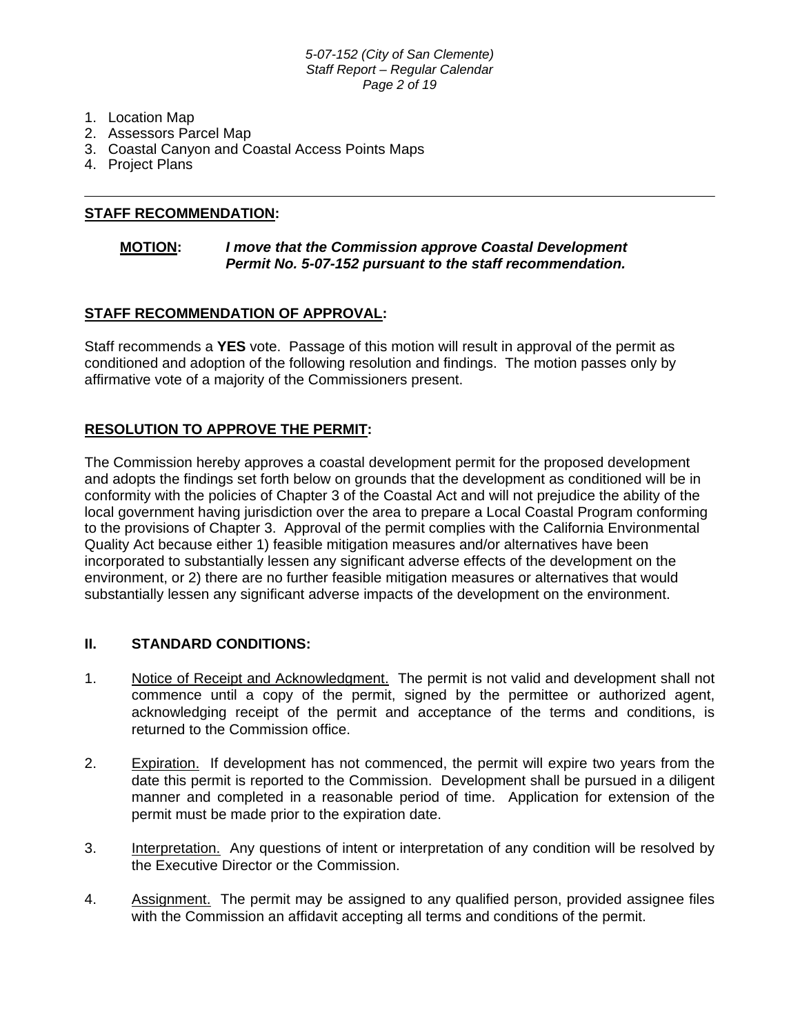#### *5-07-152 (City of San Clemente) Staff Report – Regular Calendar Page 2 of 19*

- 1. Location Map
- 2. Assessors Parcel Map
- 3. Coastal Canyon and Coastal Access Points Maps
- 4. Project Plans

## **STAFF RECOMMENDATION:**

## **MOTION:** *I move that the Commission approve Coastal Development Permit No. 5-07-152 pursuant to the staff recommendation.*

## **STAFF RECOMMENDATION OF APPROVAL:**

Staff recommends a **YES** vote. Passage of this motion will result in approval of the permit as conditioned and adoption of the following resolution and findings. The motion passes only by affirmative vote of a majority of the Commissioners present.

## **RESOLUTION TO APPROVE THE PERMIT:**

The Commission hereby approves a coastal development permit for the proposed development and adopts the findings set forth below on grounds that the development as conditioned will be in conformity with the policies of Chapter 3 of the Coastal Act and will not prejudice the ability of the local government having jurisdiction over the area to prepare a Local Coastal Program conforming to the provisions of Chapter 3. Approval of the permit complies with the California Environmental Quality Act because either 1) feasible mitigation measures and/or alternatives have been incorporated to substantially lessen any significant adverse effects of the development on the environment, or 2) there are no further feasible mitigation measures or alternatives that would substantially lessen any significant adverse impacts of the development on the environment.

## **II. STANDARD CONDITIONS:**

- 1. Notice of Receipt and Acknowledgment. The permit is not valid and development shall not commence until a copy of the permit, signed by the permittee or authorized agent, acknowledging receipt of the permit and acceptance of the terms and conditions, is returned to the Commission office.
- 2. Expiration. If development has not commenced, the permit will expire two years from the date this permit is reported to the Commission. Development shall be pursued in a diligent manner and completed in a reasonable period of time. Application for extension of the permit must be made prior to the expiration date.
- 3. Interpretation. Any questions of intent or interpretation of any condition will be resolved by the Executive Director or the Commission.
- 4. Assignment. The permit may be assigned to any qualified person, provided assignee files with the Commission an affidavit accepting all terms and conditions of the permit.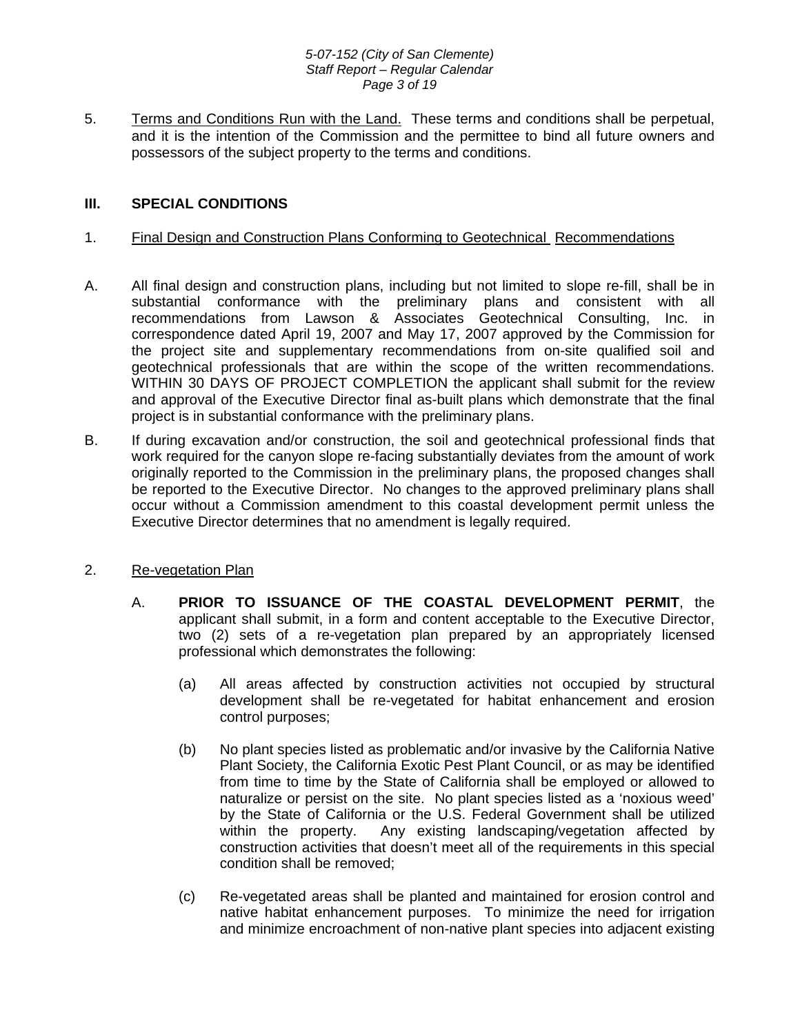#### *5-07-152 (City of San Clemente) Staff Report – Regular Calendar Page 3 of 19*

5. Terms and Conditions Run with the Land. These terms and conditions shall be perpetual, and it is the intention of the Commission and the permittee to bind all future owners and possessors of the subject property to the terms and conditions.

## **III. SPECIAL CONDITIONS**

## 1. Final Design and Construction Plans Conforming to Geotechnical Recommendations

- A. All final design and construction plans, including but not limited to slope re-fill, shall be in substantial conformance with the preliminary plans and consistent with all recommendations from Lawson & Associates Geotechnical Consulting, Inc. in correspondence dated April 19, 2007 and May 17, 2007 approved by the Commission for the project site and supplementary recommendations from on-site qualified soil and geotechnical professionals that are within the scope of the written recommendations. WITHIN 30 DAYS OF PROJECT COMPLETION the applicant shall submit for the review and approval of the Executive Director final as-built plans which demonstrate that the final project is in substantial conformance with the preliminary plans.
- B. If during excavation and/or construction, the soil and geotechnical professional finds that work required for the canyon slope re-facing substantially deviates from the amount of work originally reported to the Commission in the preliminary plans, the proposed changes shall be reported to the Executive Director. No changes to the approved preliminary plans shall occur without a Commission amendment to this coastal development permit unless the Executive Director determines that no amendment is legally required.
- 2. Re-vegetation Plan
	- A. **PRIOR TO ISSUANCE OF THE COASTAL DEVELOPMENT PERMIT**, the applicant shall submit, in a form and content acceptable to the Executive Director, two (2) sets of a re-vegetation plan prepared by an appropriately licensed professional which demonstrates the following:
		- (a) All areas affected by construction activities not occupied by structural development shall be re-vegetated for habitat enhancement and erosion control purposes;
		- (b) No plant species listed as problematic and/or invasive by the California Native Plant Society, the California Exotic Pest Plant Council, or as may be identified from time to time by the State of California shall be employed or allowed to naturalize or persist on the site. No plant species listed as a 'noxious weed' by the State of California or the U.S. Federal Government shall be utilized within the property. Any existing landscaping/vegetation affected by construction activities that doesn't meet all of the requirements in this special condition shall be removed;
		- (c) Re-vegetated areas shall be planted and maintained for erosion control and native habitat enhancement purposes. To minimize the need for irrigation and minimize encroachment of non-native plant species into adjacent existing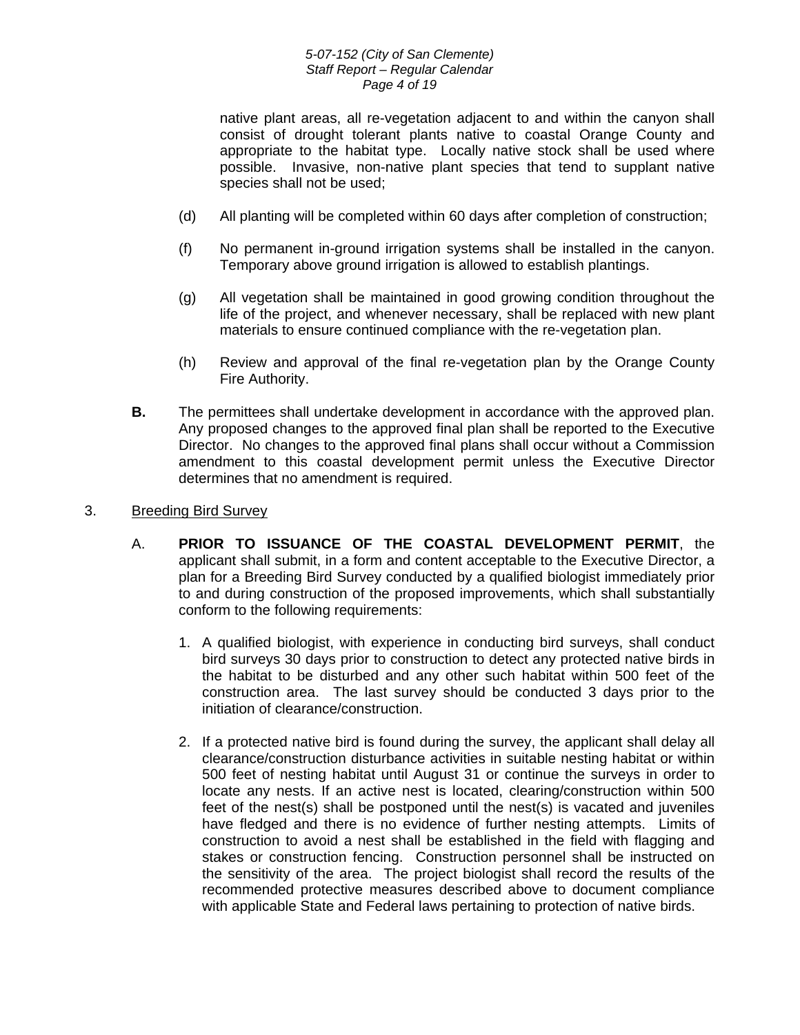### *5-07-152 (City of San Clemente) Staff Report – Regular Calendar Page 4 of 19*

native plant areas, all re-vegetation adjacent to and within the canyon shall consist of drought tolerant plants native to coastal Orange County and appropriate to the habitat type. Locally native stock shall be used where possible. Invasive, non-native plant species that tend to supplant native species shall not be used;

- (d) All planting will be completed within 60 days after completion of construction;
- (f) No permanent in-ground irrigation systems shall be installed in the canyon. Temporary above ground irrigation is allowed to establish plantings.
- (g) All vegetation shall be maintained in good growing condition throughout the life of the project, and whenever necessary, shall be replaced with new plant materials to ensure continued compliance with the re-vegetation plan.
- (h) Review and approval of the final re-vegetation plan by the Orange County Fire Authority.
- **B.** The permittees shall undertake development in accordance with the approved plan. Any proposed changes to the approved final plan shall be reported to the Executive Director. No changes to the approved final plans shall occur without a Commission amendment to this coastal development permit unless the Executive Director determines that no amendment is required.

## 3. Breeding Bird Survey

- A. **PRIOR TO ISSUANCE OF THE COASTAL DEVELOPMENT PERMIT**, the applicant shall submit, in a form and content acceptable to the Executive Director, a plan for a Breeding Bird Survey conducted by a qualified biologist immediately prior to and during construction of the proposed improvements, which shall substantially conform to the following requirements:
	- 1. A qualified biologist, with experience in conducting bird surveys, shall conduct bird surveys 30 days prior to construction to detect any protected native birds in the habitat to be disturbed and any other such habitat within 500 feet of the construction area. The last survey should be conducted 3 days prior to the initiation of clearance/construction.
	- 2. If a protected native bird is found during the survey, the applicant shall delay all clearance/construction disturbance activities in suitable nesting habitat or within 500 feet of nesting habitat until August 31 or continue the surveys in order to locate any nests. If an active nest is located, clearing/construction within 500 feet of the nest(s) shall be postponed until the nest(s) is vacated and juveniles have fledged and there is no evidence of further nesting attempts. Limits of construction to avoid a nest shall be established in the field with flagging and stakes or construction fencing. Construction personnel shall be instructed on the sensitivity of the area. The project biologist shall record the results of the recommended protective measures described above to document compliance with applicable State and Federal laws pertaining to protection of native birds.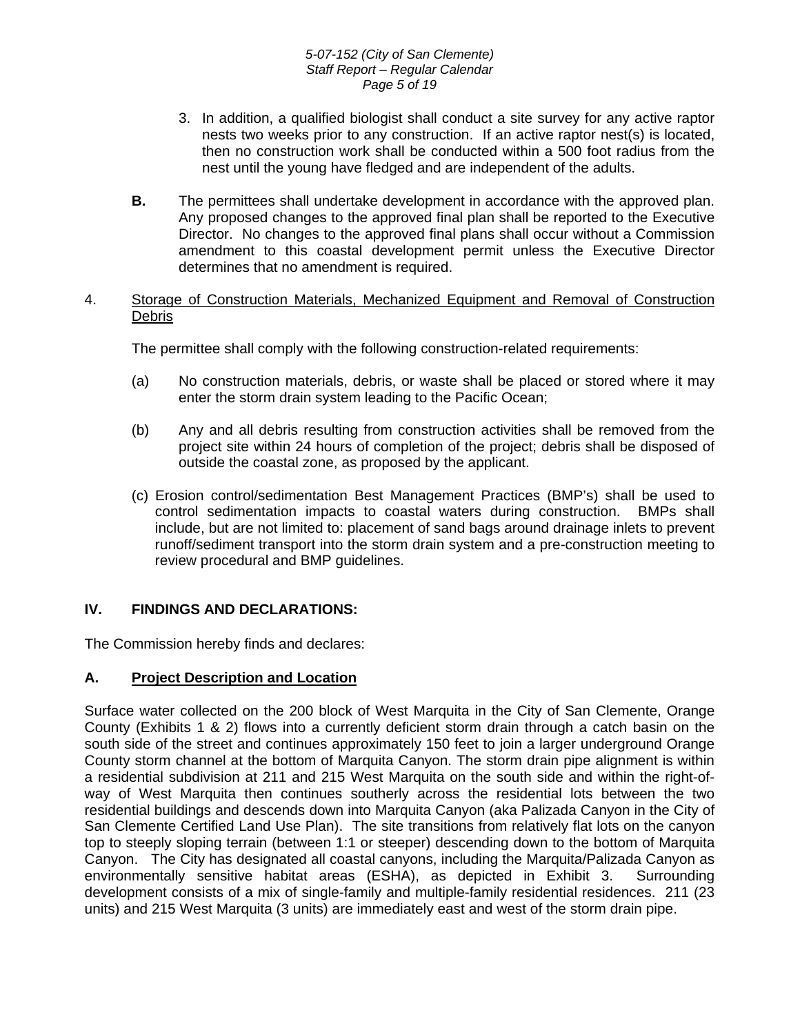- 3. In addition, a qualified biologist shall conduct a site survey for any active raptor nests two weeks prior to any construction. If an active raptor nest(s) is located, then no construction work shall be conducted within a 500 foot radius from the nest until the young have fledged and are independent of the adults.
- **B.** The permittees shall undertake development in accordance with the approved plan. Any proposed changes to the approved final plan shall be reported to the Executive Director. No changes to the approved final plans shall occur without a Commission amendment to this coastal development permit unless the Executive Director determines that no amendment is required.

## 4. Storage of Construction Materials, Mechanized Equipment and Removal of Construction Debris

The permittee shall comply with the following construction-related requirements:

- (a) No construction materials, debris, or waste shall be placed or stored where it may enter the storm drain system leading to the Pacific Ocean;
- (b) Any and all debris resulting from construction activities shall be removed from the project site within 24 hours of completion of the project; debris shall be disposed of outside the coastal zone, as proposed by the applicant.
- (c) Erosion control/sedimentation Best Management Practices (BMP's) shall be used to control sedimentation impacts to coastal waters during construction. BMPs shall include, but are not limited to: placement of sand bags around drainage inlets to prevent runoff/sediment transport into the storm drain system and a pre-construction meeting to review procedural and BMP guidelines.

# **IV. FINDINGS AND DECLARATIONS:**

The Commission hereby finds and declares:

## **A. Project Description and Location**

Surface water collected on the 200 block of West Marquita in the City of San Clemente, Orange County (Exhibits 1 & 2) flows into a currently deficient storm drain through a catch basin on the south side of the street and continues approximately 150 feet to join a larger underground Orange County storm channel at the bottom of Marquita Canyon. The storm drain pipe alignment is within a residential subdivision at 211 and 215 West Marquita on the south side and within the right-ofway of West Marquita then continues southerly across the residential lots between the two residential buildings and descends down into Marquita Canyon (aka Palizada Canyon in the City of San Clemente Certified Land Use Plan). The site transitions from relatively flat lots on the canyon top to steeply sloping terrain (between 1:1 or steeper) descending down to the bottom of Marquita Canyon. The City has designated all coastal canyons, including the Marquita/Palizada Canyon as environmentally sensitive habitat areas (ESHA), as depicted in Exhibit 3. Surrounding development consists of a mix of single-family and multiple-family residential residences. 211 (23 units) and 215 West Marquita (3 units) are immediately east and west of the storm drain pipe.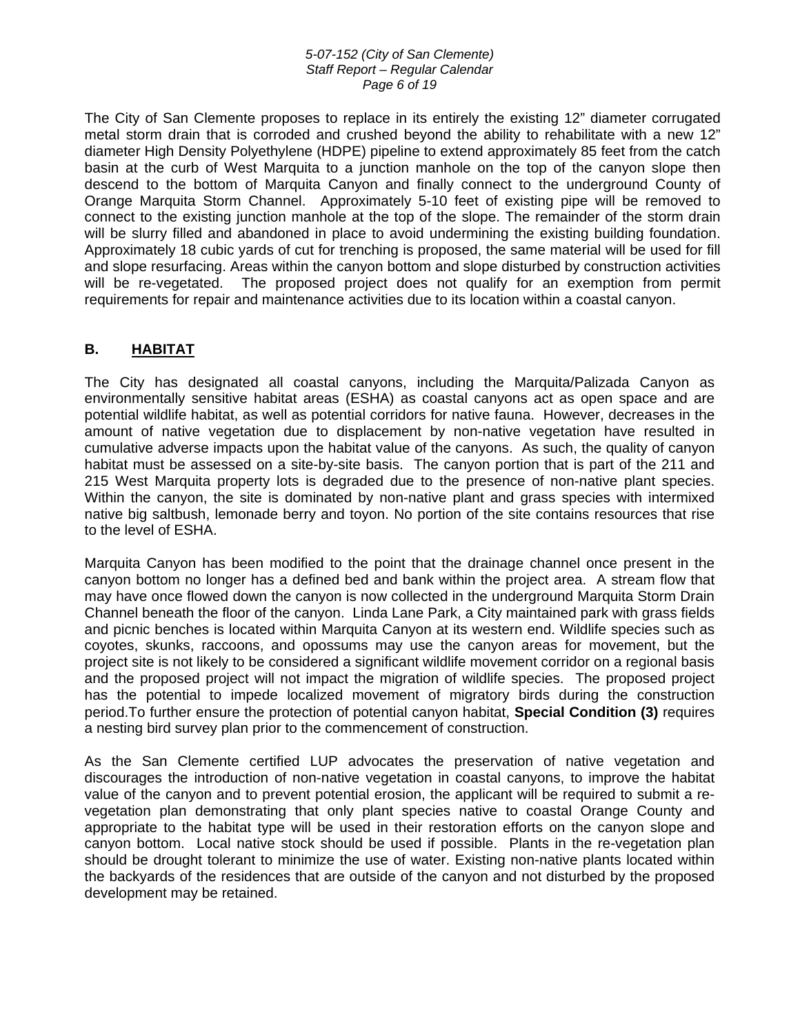#### *5-07-152 (City of San Clemente) Staff Report – Regular Calendar Page 6 of 19*

The City of San Clemente proposes to replace in its entirely the existing 12" diameter corrugated metal storm drain that is corroded and crushed beyond the ability to rehabilitate with a new 12" diameter High Density Polyethylene (HDPE) pipeline to extend approximately 85 feet from the catch basin at the curb of West Marquita to a junction manhole on the top of the canyon slope then descend to the bottom of Marquita Canyon and finally connect to the underground County of Orange Marquita Storm Channel. Approximately 5-10 feet of existing pipe will be removed to connect to the existing junction manhole at the top of the slope. The remainder of the storm drain will be slurry filled and abandoned in place to avoid undermining the existing building foundation. Approximately 18 cubic yards of cut for trenching is proposed, the same material will be used for fill and slope resurfacing. Areas within the canyon bottom and slope disturbed by construction activities will be re-vegetated. The proposed project does not qualify for an exemption from permit requirements for repair and maintenance activities due to its location within a coastal canyon.

# **B. HABITAT**

The City has designated all coastal canyons, including the Marquita/Palizada Canyon as environmentally sensitive habitat areas (ESHA) as coastal canyons act as open space and are potential wildlife habitat, as well as potential corridors for native fauna. However, decreases in the amount of native vegetation due to displacement by non-native vegetation have resulted in cumulative adverse impacts upon the habitat value of the canyons. As such, the quality of canyon habitat must be assessed on a site-by-site basis. The canyon portion that is part of the 211 and 215 West Marquita property lots is degraded due to the presence of non-native plant species. Within the canyon, the site is dominated by non-native plant and grass species with intermixed native big saltbush, lemonade berry and toyon. No portion of the site contains resources that rise to the level of ESHA.

Marquita Canyon has been modified to the point that the drainage channel once present in the canyon bottom no longer has a defined bed and bank within the project area. A stream flow that may have once flowed down the canyon is now collected in the underground Marquita Storm Drain Channel beneath the floor of the canyon. Linda Lane Park, a City maintained park with grass fields and picnic benches is located within Marquita Canyon at its western end. Wildlife species such as coyotes, skunks, raccoons, and opossums may use the canyon areas for movement, but the project site is not likely to be considered a significant wildlife movement corridor on a regional basis and the proposed project will not impact the migration of wildlife species. The proposed project has the potential to impede localized movement of migratory birds during the construction period.To further ensure the protection of potential canyon habitat, **Special Condition (3)** requires a nesting bird survey plan prior to the commencement of construction.

As the San Clemente certified LUP advocates the preservation of native vegetation and discourages the introduction of non-native vegetation in coastal canyons, to improve the habitat value of the canyon and to prevent potential erosion, the applicant will be required to submit a revegetation plan demonstrating that only plant species native to coastal Orange County and appropriate to the habitat type will be used in their restoration efforts on the canyon slope and canyon bottom. Local native stock should be used if possible. Plants in the re-vegetation plan should be drought tolerant to minimize the use of water. Existing non-native plants located within the backyards of the residences that are outside of the canyon and not disturbed by the proposed development may be retained.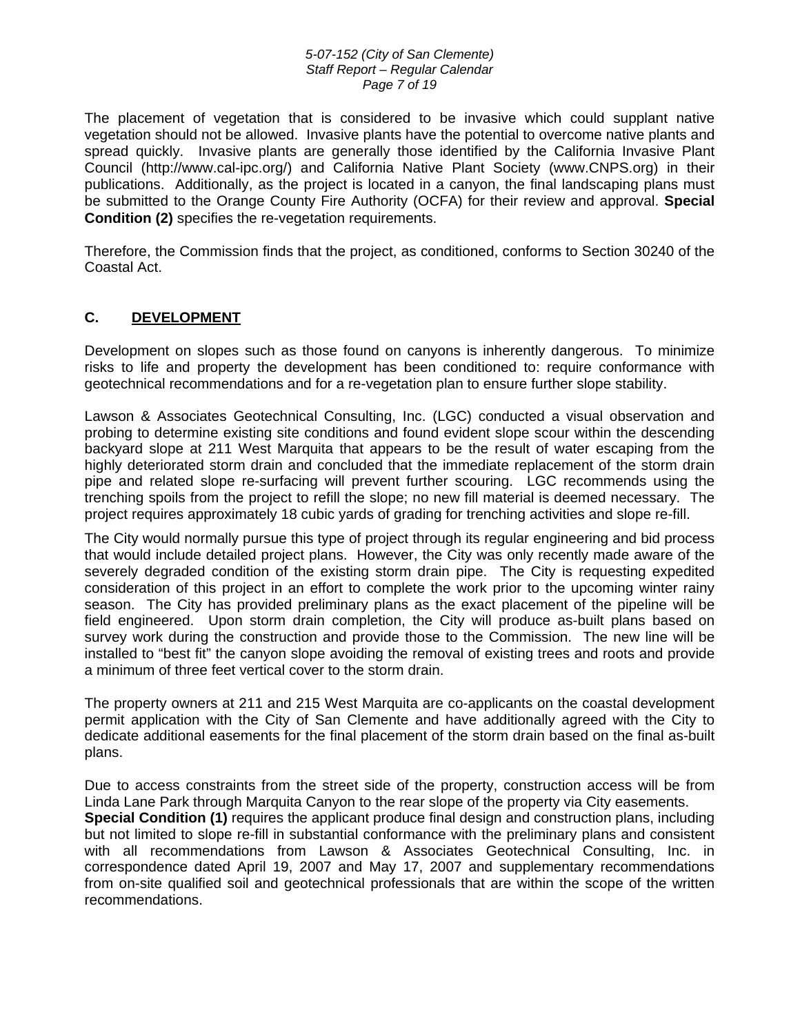#### *5-07-152 (City of San Clemente) Staff Report – Regular Calendar Page 7 of 19*

The placement of vegetation that is considered to be invasive which could supplant native vegetation should not be allowed. Invasive plants have the potential to overcome native plants and spread quickly. Invasive plants are generally those identified by the California Invasive Plant Council (http://www.cal-ipc.org/) and California Native Plant Society (www.CNPS.org) in their publications. Additionally, as the project is located in a canyon, the final landscaping plans must be submitted to the Orange County Fire Authority (OCFA) for their review and approval. **Special Condition (2)** specifies the re-vegetation requirements.

Therefore, the Commission finds that the project, as conditioned, conforms to Section 30240 of the Coastal Act.

# **C. DEVELOPMENT**

Development on slopes such as those found on canyons is inherently dangerous. To minimize risks to life and property the development has been conditioned to: require conformance with geotechnical recommendations and for a re-vegetation plan to ensure further slope stability.

Lawson & Associates Geotechnical Consulting, Inc. (LGC) conducted a visual observation and probing to determine existing site conditions and found evident slope scour within the descending backyard slope at 211 West Marquita that appears to be the result of water escaping from the highly deteriorated storm drain and concluded that the immediate replacement of the storm drain pipe and related slope re-surfacing will prevent further scouring. LGC recommends using the trenching spoils from the project to refill the slope; no new fill material is deemed necessary. The project requires approximately 18 cubic yards of grading for trenching activities and slope re-fill.

The City would normally pursue this type of project through its regular engineering and bid process that would include detailed project plans. However, the City was only recently made aware of the severely degraded condition of the existing storm drain pipe. The City is requesting expedited consideration of this project in an effort to complete the work prior to the upcoming winter rainy season. The City has provided preliminary plans as the exact placement of the pipeline will be field engineered. Upon storm drain completion, the City will produce as-built plans based on survey work during the construction and provide those to the Commission. The new line will be installed to "best fit" the canyon slope avoiding the removal of existing trees and roots and provide a minimum of three feet vertical cover to the storm drain.

The property owners at 211 and 215 West Marquita are co-applicants on the coastal development permit application with the City of San Clemente and have additionally agreed with the City to dedicate additional easements for the final placement of the storm drain based on the final as-built plans.

Due to access constraints from the street side of the property, construction access will be from Linda Lane Park through Marquita Canyon to the rear slope of the property via City easements. **Special Condition (1)** requires the applicant produce final design and construction plans, including but not limited to slope re-fill in substantial conformance with the preliminary plans and consistent with all recommendations from Lawson & Associates Geotechnical Consulting, Inc. in correspondence dated April 19, 2007 and May 17, 2007 and supplementary recommendations from on-site qualified soil and geotechnical professionals that are within the scope of the written recommendations.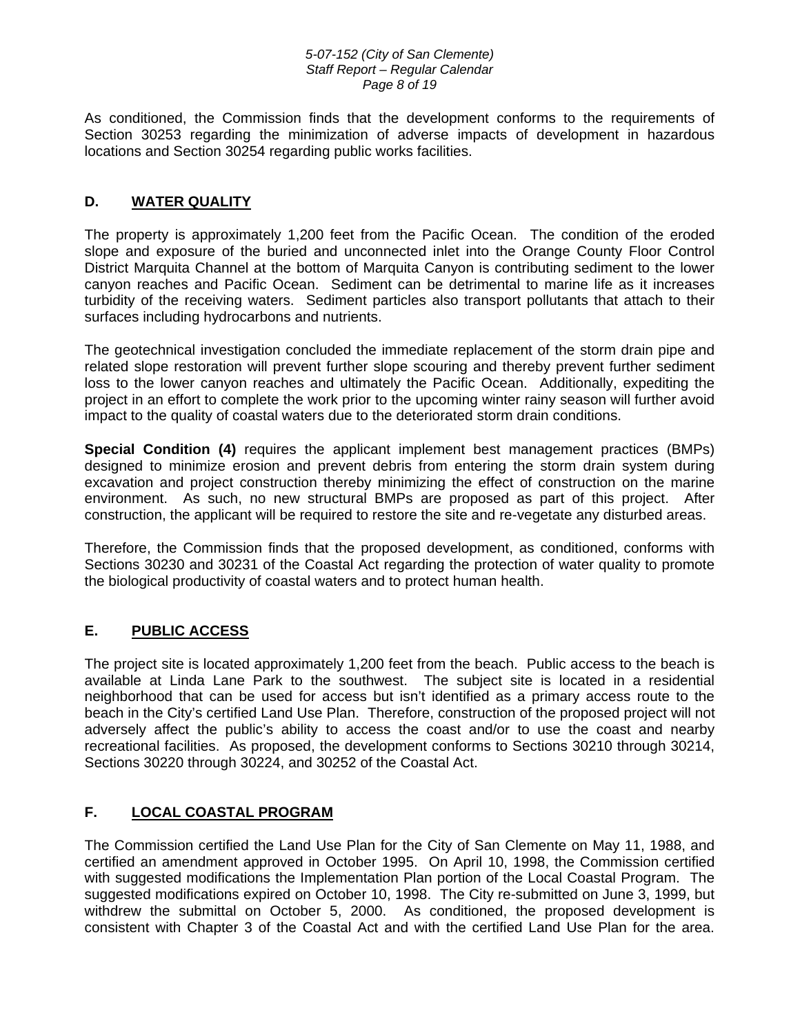#### *5-07-152 (City of San Clemente) Staff Report – Regular Calendar Page 8 of 19*

As conditioned, the Commission finds that the development conforms to the requirements of Section 30253 regarding the minimization of adverse impacts of development in hazardous locations and Section 30254 regarding public works facilities.

# **D. WATER QUALITY**

The property is approximately 1,200 feet from the Pacific Ocean. The condition of the eroded slope and exposure of the buried and unconnected inlet into the Orange County Floor Control District Marquita Channel at the bottom of Marquita Canyon is contributing sediment to the lower canyon reaches and Pacific Ocean. Sediment can be detrimental to marine life as it increases turbidity of the receiving waters. Sediment particles also transport pollutants that attach to their surfaces including hydrocarbons and nutrients.

The geotechnical investigation concluded the immediate replacement of the storm drain pipe and related slope restoration will prevent further slope scouring and thereby prevent further sediment loss to the lower canyon reaches and ultimately the Pacific Ocean. Additionally, expediting the project in an effort to complete the work prior to the upcoming winter rainy season will further avoid impact to the quality of coastal waters due to the deteriorated storm drain conditions.

**Special Condition (4)** requires the applicant implement best management practices (BMPs) designed to minimize erosion and prevent debris from entering the storm drain system during excavation and project construction thereby minimizing the effect of construction on the marine environment. As such, no new structural BMPs are proposed as part of this project. After construction, the applicant will be required to restore the site and re-vegetate any disturbed areas.

Therefore, the Commission finds that the proposed development, as conditioned, conforms with Sections 30230 and 30231 of the Coastal Act regarding the protection of water quality to promote the biological productivity of coastal waters and to protect human health.

# **E. PUBLIC ACCESS**

The project site is located approximately 1,200 feet from the beach. Public access to the beach is available at Linda Lane Park to the southwest. The subject site is located in a residential neighborhood that can be used for access but isn't identified as a primary access route to the beach in the City's certified Land Use Plan. Therefore, construction of the proposed project will not adversely affect the public's ability to access the coast and/or to use the coast and nearby recreational facilities. As proposed, the development conforms to Sections 30210 through 30214, Sections 30220 through 30224, and 30252 of the Coastal Act.

# **F. LOCAL COASTAL PROGRAM**

The Commission certified the Land Use Plan for the City of San Clemente on May 11, 1988, and certified an amendment approved in October 1995. On April 10, 1998, the Commission certified with suggested modifications the Implementation Plan portion of the Local Coastal Program. The suggested modifications expired on October 10, 1998. The City re-submitted on June 3, 1999, but withdrew the submittal on October 5, 2000. As conditioned, the proposed development is consistent with Chapter 3 of the Coastal Act and with the certified Land Use Plan for the area.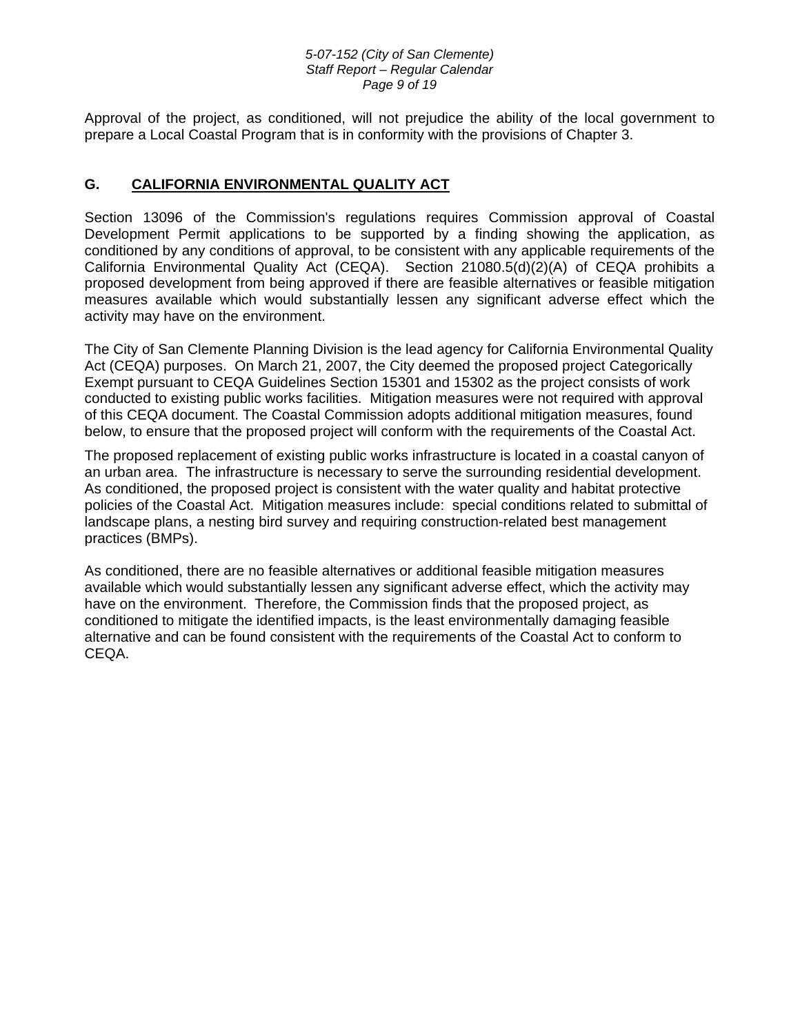#### *5-07-152 (City of San Clemente) Staff Report – Regular Calendar Page 9 of 19*

Approval of the project, as conditioned, will not prejudice the ability of the local government to prepare a Local Coastal Program that is in conformity with the provisions of Chapter 3.

# **G. CALIFORNIA ENVIRONMENTAL QUALITY ACT**

Section 13096 of the Commission's regulations requires Commission approval of Coastal Development Permit applications to be supported by a finding showing the application, as conditioned by any conditions of approval, to be consistent with any applicable requirements of the California Environmental Quality Act (CEQA). Section 21080.5(d)(2)(A) of CEQA prohibits a proposed development from being approved if there are feasible alternatives or feasible mitigation measures available which would substantially lessen any significant adverse effect which the activity may have on the environment.

The City of San Clemente Planning Division is the lead agency for California Environmental Quality Act (CEQA) purposes. On March 21, 2007, the City deemed the proposed project Categorically Exempt pursuant to CEQA Guidelines Section 15301 and 15302 as the project consists of work conducted to existing public works facilities. Mitigation measures were not required with approval of this CEQA document. The Coastal Commission adopts additional mitigation measures, found below, to ensure that the proposed project will conform with the requirements of the Coastal Act.

The proposed replacement of existing public works infrastructure is located in a coastal canyon of an urban area. The infrastructure is necessary to serve the surrounding residential development. As conditioned, the proposed project is consistent with the water quality and habitat protective policies of the Coastal Act. Mitigation measures include: special conditions related to submittal of landscape plans, a nesting bird survey and requiring construction-related best management practices (BMPs).

As conditioned, there are no feasible alternatives or additional feasible mitigation measures available which would substantially lessen any significant adverse effect, which the activity may have on the environment. Therefore, the Commission finds that the proposed project, as conditioned to mitigate the identified impacts, is the least environmentally damaging feasible alternative and can be found consistent with the requirements of the Coastal Act to conform to CEQA.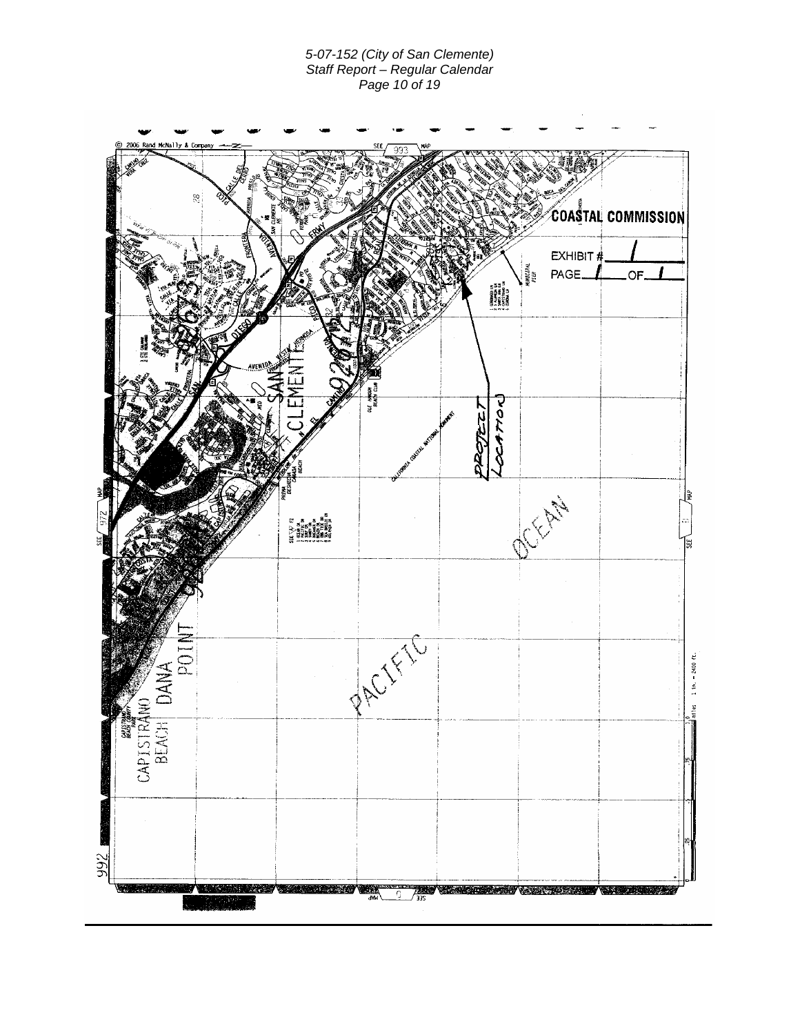#### *5-07-152 (City of San Clemente) Staff Report – Regular Calendar Page 10 of 19*

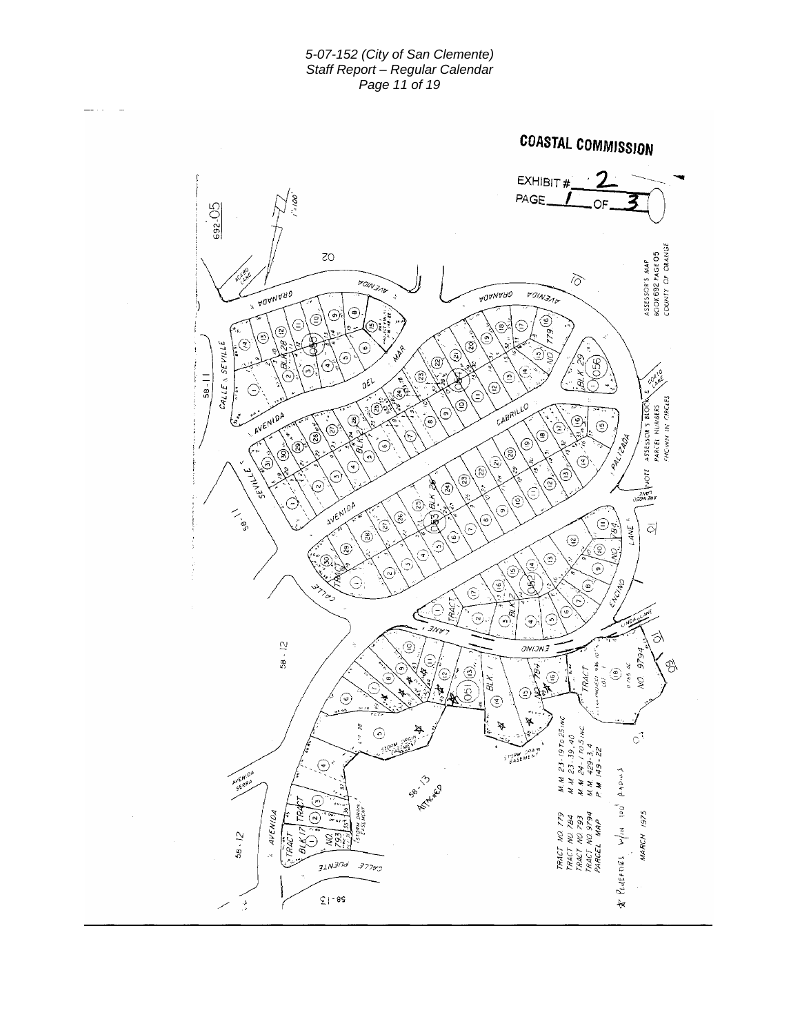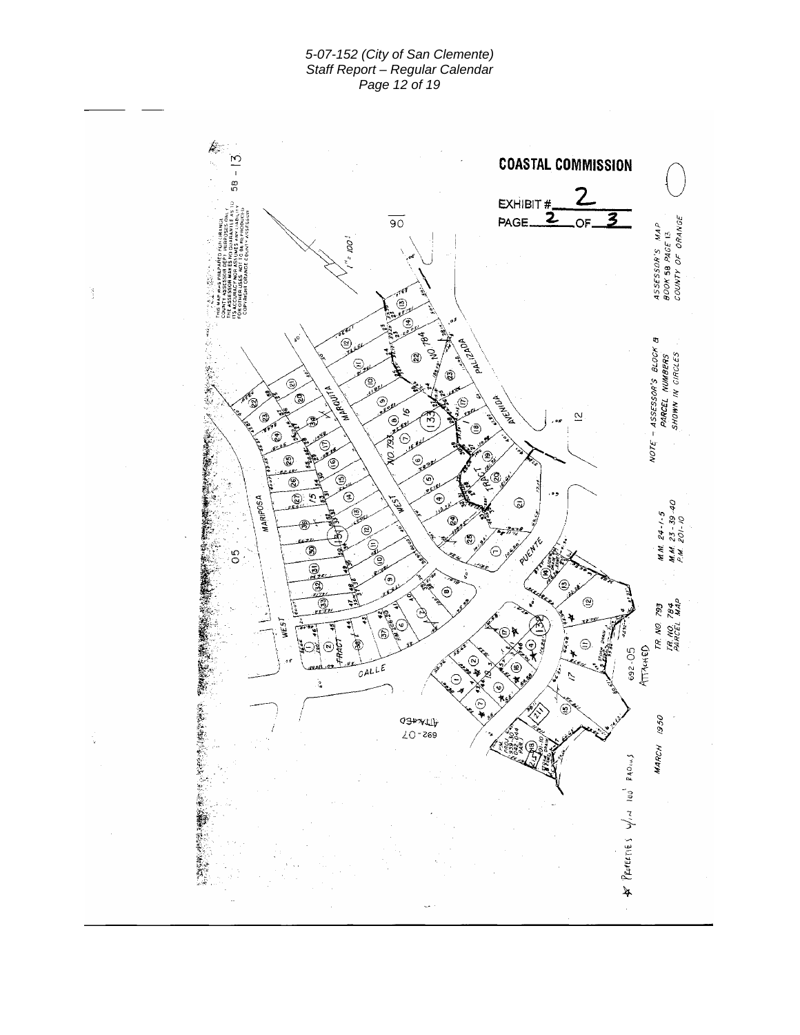*5-07-152 (City of San Clemente) Staff Report – Regular Calendar Page 12 of 19* 

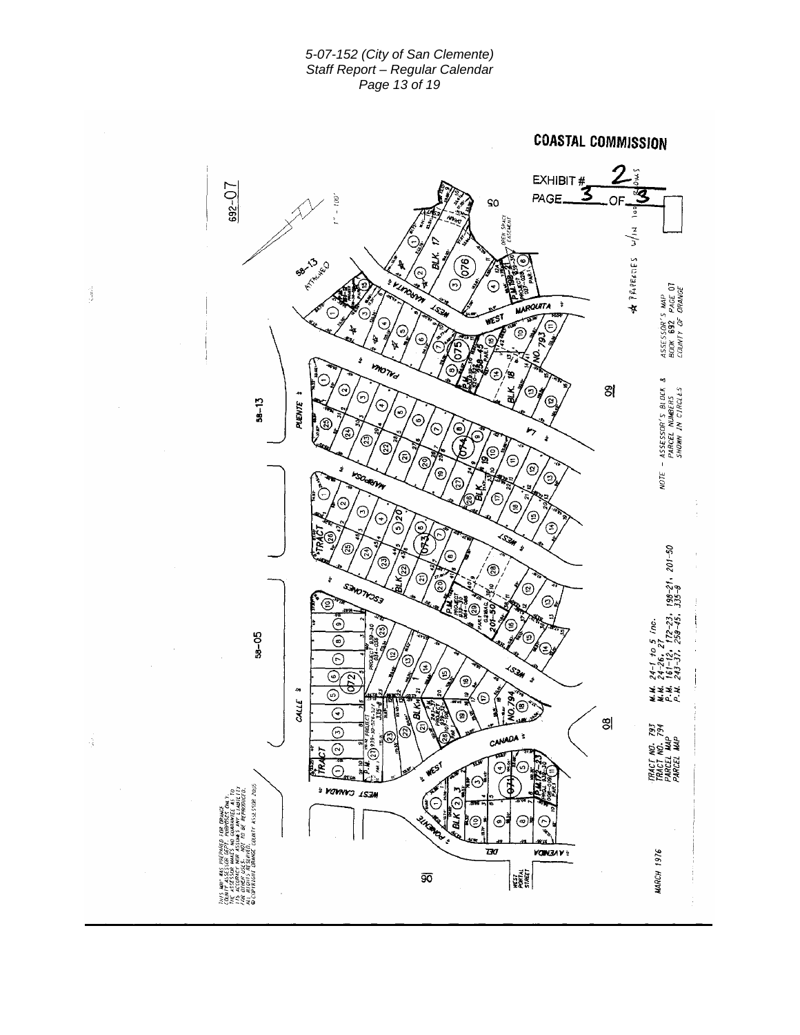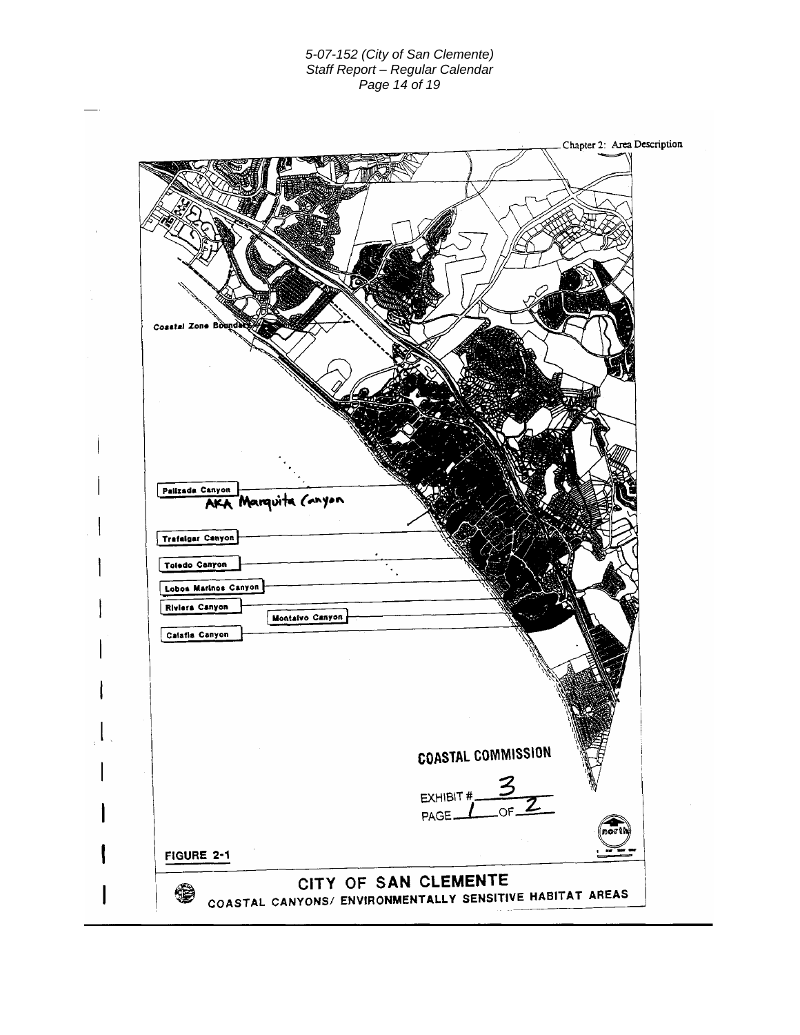### *5-07-152 (City of San Clemente) Staff Report – Regular Calendar Page 14 of 19*

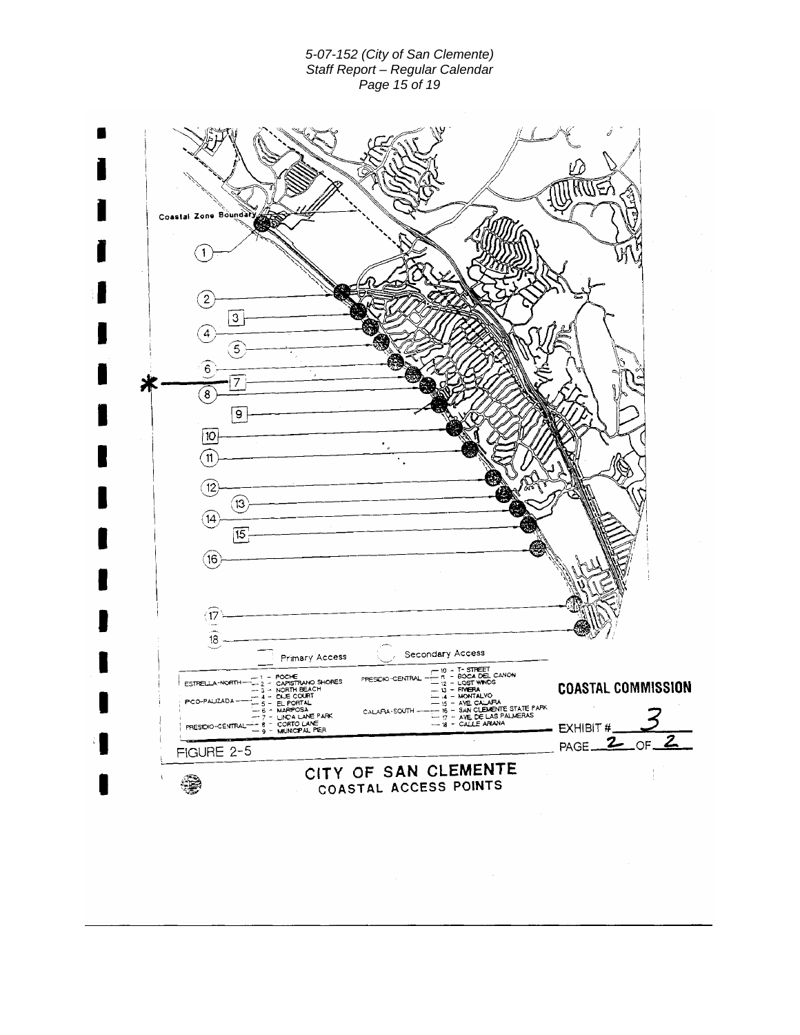### *5-07-152 (City of San Clemente) Staff Report – Regular Calendar Page 15 of 19*

| Coastal Zone Boundal            |                                                                                                                                         |                                               |                                                                                                                 |                              |
|---------------------------------|-----------------------------------------------------------------------------------------------------------------------------------------|-----------------------------------------------|-----------------------------------------------------------------------------------------------------------------|------------------------------|
|                                 |                                                                                                                                         |                                               |                                                                                                                 |                              |
| $\mathbf{2}$<br>3               |                                                                                                                                         |                                               |                                                                                                                 |                              |
| 4<br>5<br>6                     |                                                                                                                                         |                                               |                                                                                                                 |                              |
| 7<br>8<br>9                     |                                                                                                                                         |                                               |                                                                                                                 |                              |
| 10                              |                                                                                                                                         |                                               |                                                                                                                 |                              |
| $12\phantom{.0}$<br>(13         |                                                                                                                                         |                                               |                                                                                                                 |                              |
| 14<br>$\overline{15}$           |                                                                                                                                         |                                               |                                                                                                                 |                              |
| $^{[16]}$                       |                                                                                                                                         |                                               |                                                                                                                 |                              |
| 17                              |                                                                                                                                         |                                               |                                                                                                                 |                              |
| 18                              | Primary Access                                                                                                                          | Secondary Access<br>10                        | T-STREET<br>- BOCA DEL CANON                                                                                    |                              |
| ESTRELLA-NORTH<br>PCO-PAUZADA   | POCI€<br>- CAPISTRANO SHORES<br>-2<br>$-3 -$ NORTH BEACH<br>$-4 - CAE COURT$<br>$-5 - EL PORTAL$<br>- MARPOSA<br>$-7 -$ LINDA LANE PARK | n<br>PRESIDIO-CENTRAL<br>CALAFIA-SOUTH-       | 12 - LOST WINDS<br>-- 13 - FMERA<br>$4 - MOMTALVO$<br><b>15 - AVE CALAFIA</b><br>- 16 - SAN CLEMENTE STATE PARK | <b>COASTAL COMMISSION</b>    |
| PRESIDIO-CENTRAL-<br>FIGURE 2-5 | - 8 - CORTO LANE<br>- 9 - MUNICIPAL PIER                                                                                                |                                               | $-7 - AVE$ DE LAS PALMERAS<br>$-8 - CAILE$ ARANA                                                                | EXHIBIT #<br>PAGE $2$ of $2$ |
|                                 |                                                                                                                                         | CITY OF SAN CLEMENTE<br>COASTAL ACCESS POINTS |                                                                                                                 | ÷                            |
|                                 |                                                                                                                                         |                                               |                                                                                                                 |                              |
|                                 |                                                                                                                                         |                                               |                                                                                                                 |                              |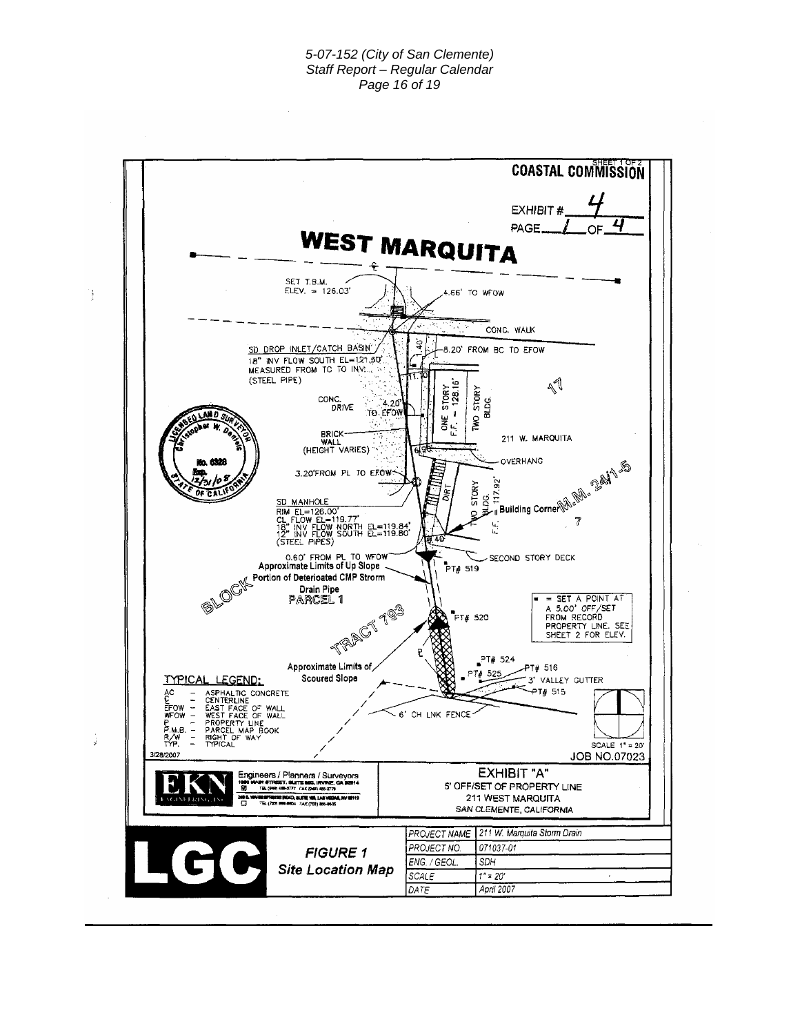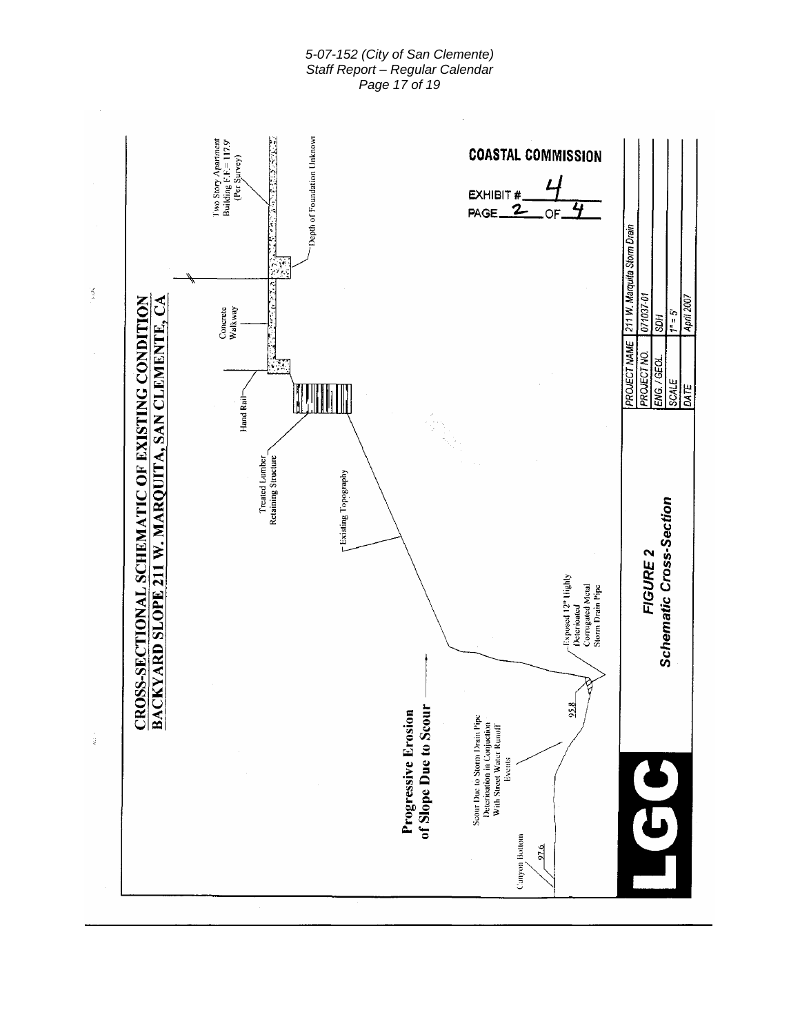### *5-07-152 (City of San Clemente) Staff Report – Regular Calendar Page 17 of 19*

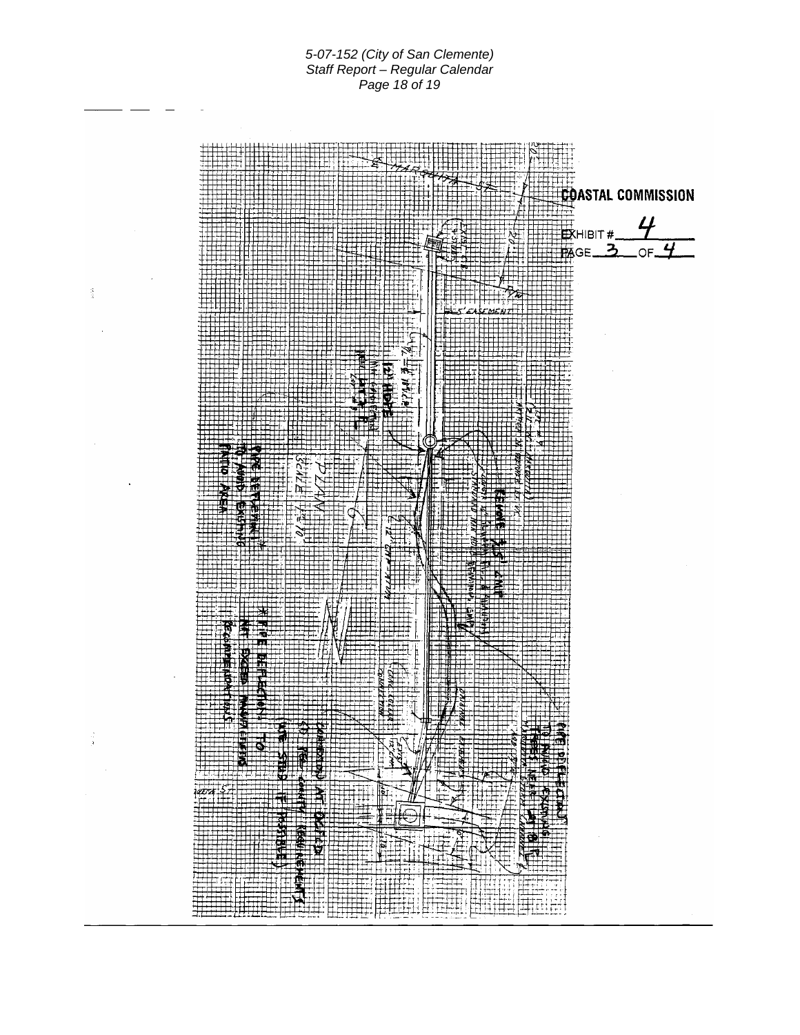*5-07-152 (City of San Clemente) Staff Report – Regular Calendar Page 18 of 19*